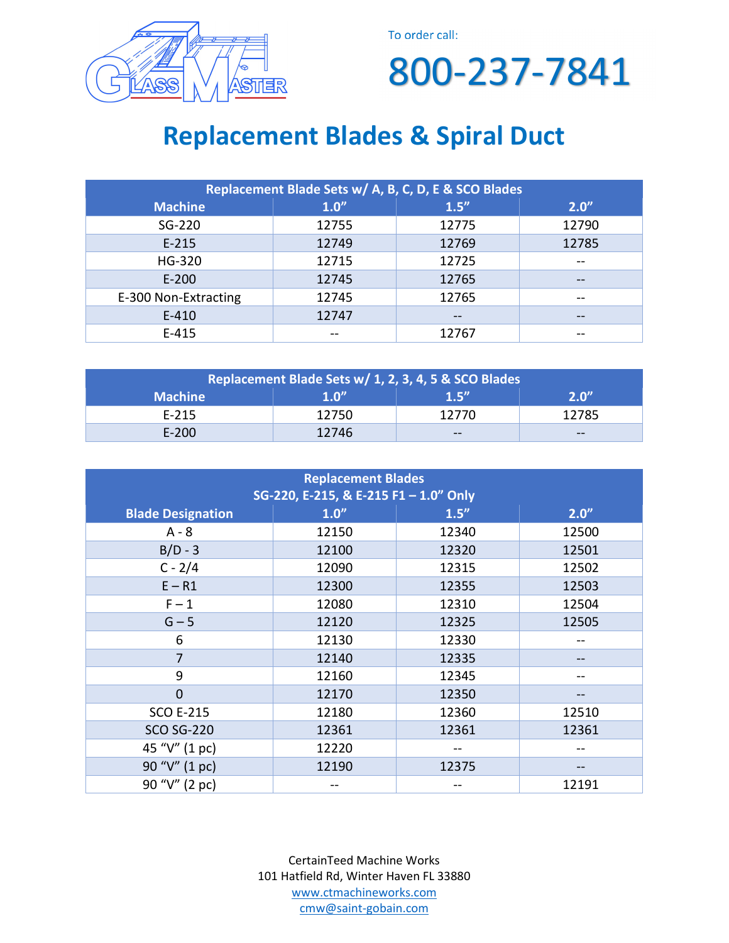

To order call:

800-237-7841

## **Replacement Blades & Spiral Duct**

| Replacement Blade Sets w/ A, B, C, D, E & SCO Blades |         |       |       |
|------------------------------------------------------|---------|-------|-------|
| <b>Machine</b>                                       | $1.0$ " | 1.5'' | 2.0'' |
| SG-220                                               | 12755   | 12775 | 12790 |
| $E-215$                                              | 12749   | 12769 | 12785 |
| HG-320                                               | 12715   | 12725 | --    |
| $E-200$                                              | 12745   | 12765 | $- -$ |
| E-300 Non-Extracting                                 | 12745   | 12765 | $- -$ |
| $E - 410$                                            | 12747   |       | --    |
| $E-415$                                              |         | 12767 | --    |

| Replacement Blade Sets w/ 1, 2, 3, 4, 5 & SCO Blades |                  |                |       |
|------------------------------------------------------|------------------|----------------|-------|
| <b>Machine</b>                                       | 1.0 <sup>n</sup> | 1 <sup>h</sup> | 2.0"  |
| $E - 215$                                            | 12750            | 12770          | 12785 |
| $E - 200$                                            | 12746            | $- -$          | $- -$ |

| <b>Replacement Blades</b><br>SG-220, E-215, & E-215 F1 - 1.0" Only |       |       |       |
|--------------------------------------------------------------------|-------|-------|-------|
| <b>Blade Designation</b>                                           | 1.0'' | 1.5'' | 2.0'' |
| $A - 8$                                                            | 12150 | 12340 | 12500 |
| $B/D - 3$                                                          | 12100 | 12320 | 12501 |
| $C - 2/4$                                                          | 12090 | 12315 | 12502 |
| $E - R1$                                                           | 12300 | 12355 | 12503 |
| $F-1$                                                              | 12080 | 12310 |       |
| $G - 5$                                                            | 12120 | 12325 | 12505 |
| 6                                                                  | 12130 | 12330 | --    |
| $\overline{7}$                                                     | 12140 | 12335 | --    |
| 9                                                                  | 12160 | 12345 | --    |
| $\overline{0}$                                                     | 12170 | 12350 | --    |
| <b>SCO E-215</b>                                                   | 12180 | 12360 | 12510 |
| <b>SCO SG-220</b>                                                  | 12361 | 12361 | 12361 |
| 45 "V" (1 pc)                                                      | 12220 |       |       |
| 90 "V" (1 pc)                                                      | 12190 | 12375 |       |
| 90 "V" (2 pc)                                                      |       |       | 12191 |

CertainTeed Machine Works 101 Hatfield Rd, Winter Haven FL 33880 www.ctmachineworks.com cmw@saint-gobain.com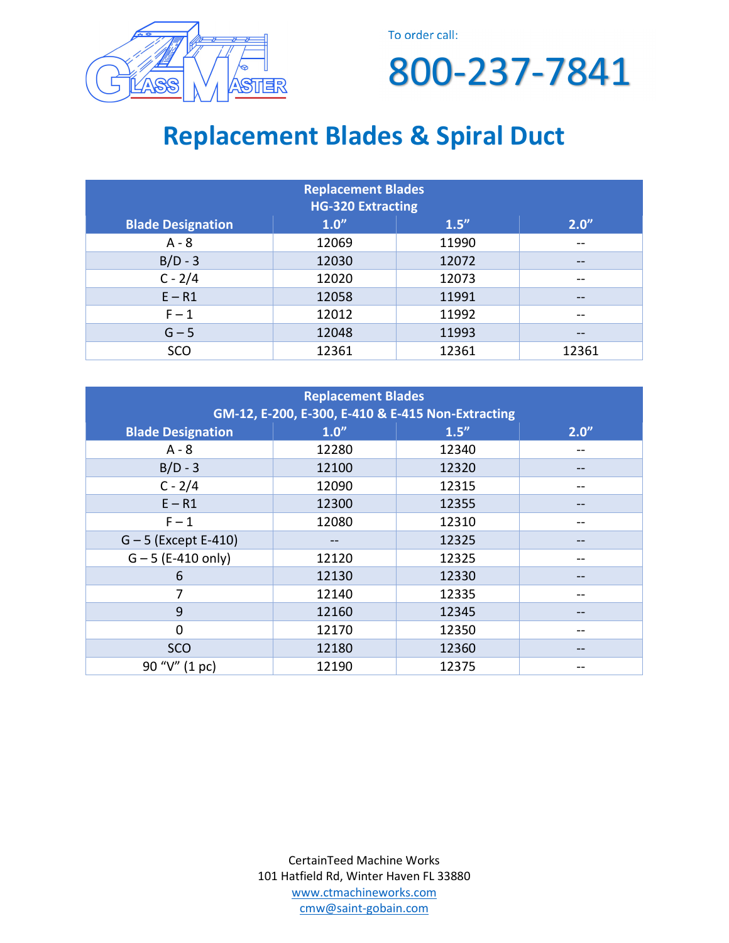

To order call:

800-237-7841

## **Replacement Blades & Spiral Duct**

| <b>Replacement Blades</b><br><b>HG-320 Extracting</b> |         |       |                   |
|-------------------------------------------------------|---------|-------|-------------------|
| <b>Blade Designation</b>                              | $1.0$ " | 1.5'' | 2.0''             |
| $A - 8$                                               | 12069   | 11990 | --                |
| $B/D - 3$                                             | 12030   | 12072 | $- -$             |
| $C - 2/4$                                             | 12020   | 12073 | $- -$             |
| $E - R1$                                              | 12058   | 11991 | $- -$             |
| $F-1$                                                 | 12012   | 11992 | $- -$             |
| $G - 5$                                               | 12048   | 11993 | $\qquad \qquad -$ |
| SCO                                                   | 12361   | 12361 | 12361             |

| <b>Replacement Blades</b><br>GM-12, E-200, E-300, E-410 & E-415 Non-Extracting |                |       |       |
|--------------------------------------------------------------------------------|----------------|-------|-------|
| <b>Blade Designation</b>                                                       | $1.0$ "        | 1.5'' | 2.0'' |
| $A - 8$                                                                        | 12280          | 12340 | --    |
| $B/D - 3$                                                                      | 12100          | 12320 |       |
| $C - 2/4$                                                                      | 12090          | 12315 |       |
| $E - R1$                                                                       | 12300          | 12355 | --    |
| $F-1$                                                                          | 12080          | 12310 |       |
| $G - 5$ (Except E-410)                                                         | --             | 12325 |       |
| $G - 5$ (E-410 only)                                                           | 12120          | 12325 |       |
| 6                                                                              | 12130          | 12330 |       |
| 7                                                                              | 12140          | 12335 |       |
| 9                                                                              | 12160          | 12345 |       |
| $\Omega$                                                                       | 12170          | 12350 |       |
| <b>SCO</b>                                                                     | 12180<br>12360 |       | $- -$ |
| 90 "V" (1 pc)                                                                  | 12190          | 12375 |       |